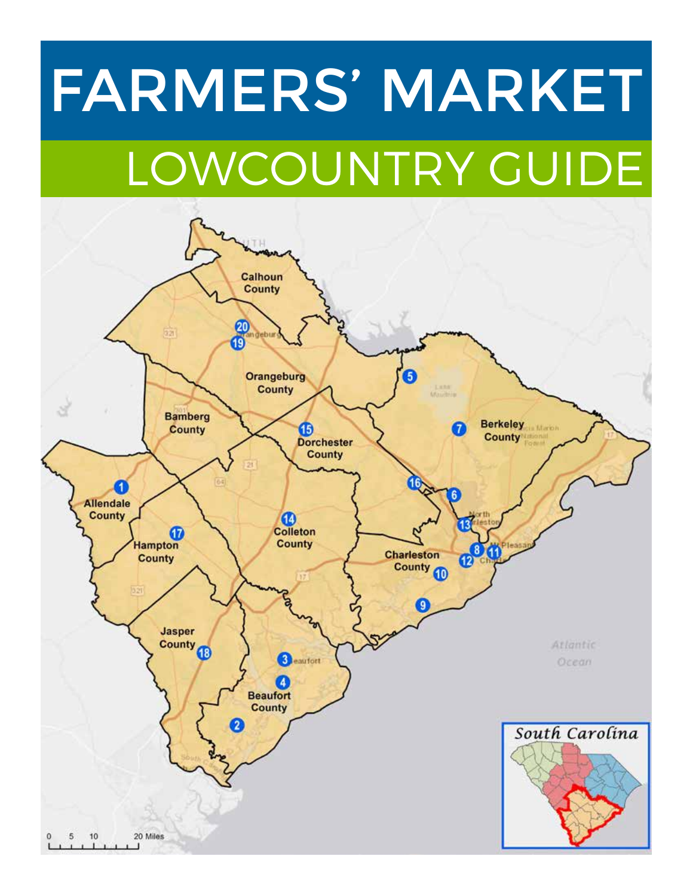# LOWCOUNTRY GUIDE FARMERS' MARKET

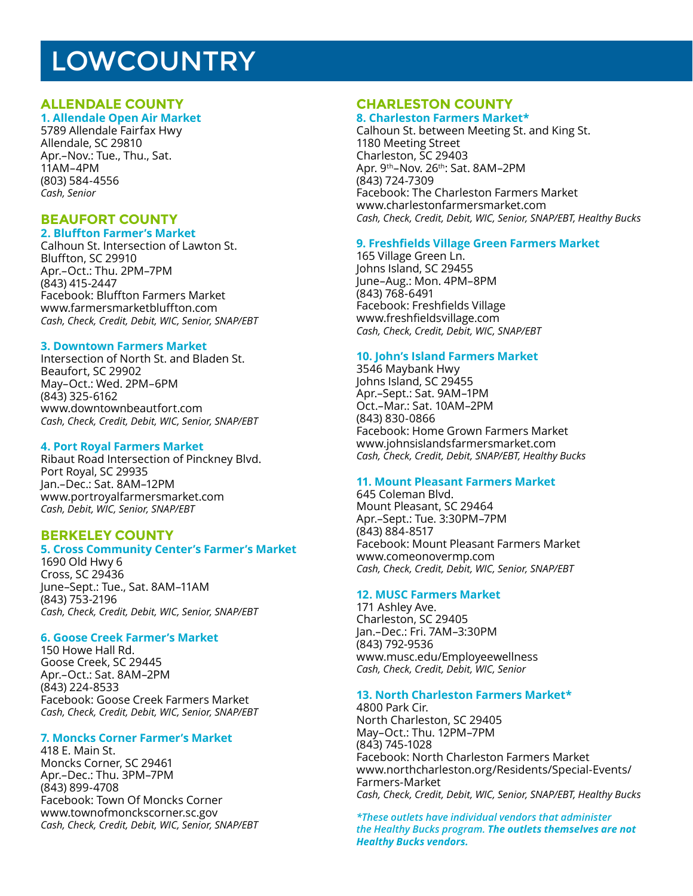## **LOWCOUNTRY**

#### **ALLENDALE COUNTY**

#### **1. Allendale Open Air Market**

5789 Allendale Fairfax Hwy Allendale, SC 29810 Apr.–Nov.: Tue., Thu., Sat. 11AM–4PM (803) 584-4556 *Cash, Senior*

#### **BEAUFORT COUNTY**

#### **2. Bluffton Farmer's Market**

Calhoun St. Intersection of Lawton St. Bluffton, SC 29910 Apr.–Oct.: Thu. 2PM–7PM (843) 415-2447 Facebook: Bluffton Farmers Market www.farmersmarketbluffton.com *Cash, Check, Credit, Debit, WIC, Senior, SNAP/EBT*

#### **3. Downtown Farmers Market**

Intersection of North St. and Bladen St. Beaufort, SC 29902 May–Oct.: Wed. 2PM–6PM (843) 325-6162 www.downtownbeautfort.com *Cash, Check, Credit, Debit, WIC, Senior, SNAP/EBT*

#### **4. Port Royal Farmers Market**

Ribaut Road Intersection of Pinckney Blvd. Port Royal, SC 29935 Jan.–Dec.: Sat. 8AM–12PM www.portroyalfarmersmarket.com *Cash, Debit, WIC, Senior, SNAP/EBT*

#### **BERKELEY COUNTY**

#### **5. Cross Community Center's Farmer's Market**

1690 Old Hwy 6 Cross, SC 29436 June–Sept.: Tue., Sat. 8AM–11AM (843) 753-2196 *Cash, Check, Credit, Debit, WIC, Senior, SNAP/EBT*

#### **6. Goose Creek Farmer's Market**

150 Howe Hall Rd. Goose Creek, SC 29445 Apr.–Oct.: Sat. 8AM–2PM (843) 224-8533 Facebook: Goose Creek Farmers Market *Cash, Check, Credit, Debit, WIC, Senior, SNAP/EBT*

#### **7. Moncks Corner Farmer's Market**

418 E. Main St. Moncks Corner, SC 29461 Apr.–Dec.: Thu. 3PM–7PM (843) 899-4708 Facebook: Town Of Moncks Corner www.townofmonckscorner.sc.gov *Cash, Check, Credit, Debit, WIC, Senior, SNAP/EBT*

#### **CHARLESTON COUNTY**

#### **8. Charleston Farmers Market\***

Calhoun St. between Meeting St. and King St. 1180 Meeting Street Charleston, SC 29403 Apr. 9th–Nov. 26th: Sat. 8AM–2PM (843) 724-7309 Facebook: The Charleston Farmers Market www.charlestonfarmersmarket.com *Cash, Check, Credit, Debit, WIC, Senior, SNAP/EBT, Healthy Bucks*

#### **9. Freshfields Village Green Farmers Market**

165 Village Green Ln. Johns Island, SC 29455 June–Aug.: Mon. 4PM–8PM (843) 768-6491 Facebook: Freshfields Village www.freshfieldsvillage.com *Cash, Check, Credit, Debit, WIC, SNAP/EBT*

#### **10. John's Island Farmers Market**

3546 Maybank Hwy Johns Island, SC 29455 Apr.–Sept.: Sat. 9AM–1PM Oct.–Mar.: Sat. 10AM–2PM (843) 830-0866 Facebook: Home Grown Farmers Market www.johnsislandsfarmersmarket.com *Cash, Check, Credit, Debit, SNAP/EBT, Healthy Bucks*

#### **11. Mount Pleasant Farmers Market**

645 Coleman Blvd. Mount Pleasant, SC 29464 Apr.–Sept.: Tue. 3:30PM–7PM (843) 884-8517 Facebook: Mount Pleasant Farmers Market www.comeonovermp.com *Cash, Check, Credit, Debit, WIC, Senior, SNAP/EBT*

#### **12. MUSC Farmers Market**

171 Ashley Ave. Charleston, SC 29405 Jan.–Dec.: Fri. 7AM–3:30PM (843) 792-9536 www.musc.edu/Employeewellness *Cash, Check, Credit, Debit, WIC, Senior*

#### **13. North Charleston Farmers Market\***

4800 Park Cir. North Charleston, SC 29405 May–Oct.: Thu. 12PM–7PM (843) 745-1028 Facebook: North Charleston Farmers Market www.northcharleston.org/Residents/Special-Events/ Farmers-Market *Cash, Check, Credit, Debit, WIC, Senior, SNAP/EBT, Healthy Bucks*

*\*These outlets have individual vendors that administer the Healthy Bucks program. The outlets themselves are not Healthy Bucks vendors.*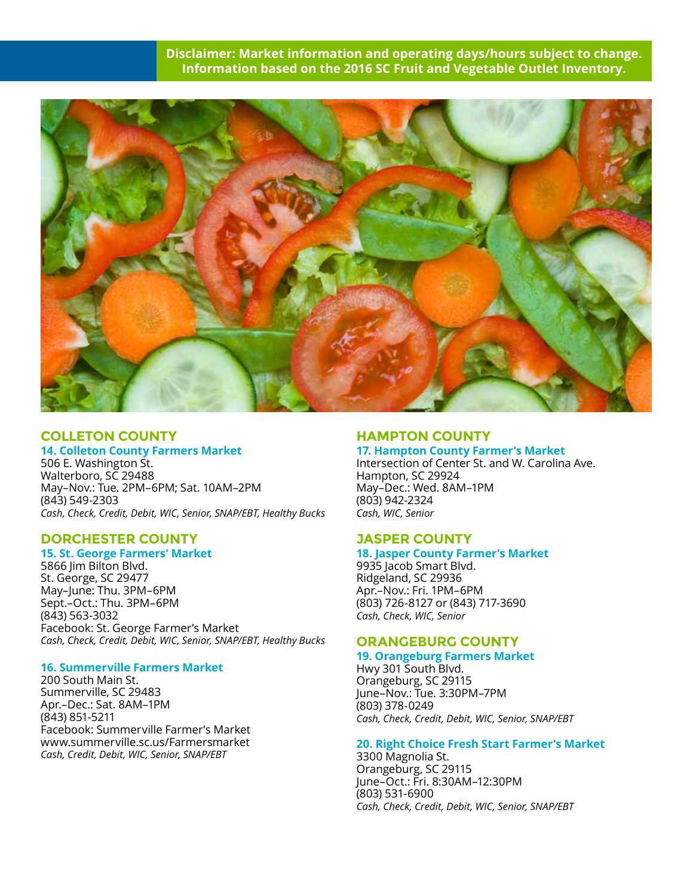#### **Disclaimer: Market information and operating days/hours subject to change. Information based on the 2016 SC Fruit and Vegetable Outlet Inventory.**



#### **COLLETON COUNTY 14. Colleton County Farmers Market**

506 E. Washington St. Walterboro, SC 29488 May–Nov.: Tue. 2PM–6PM; Sat. 10AM–2PM (843) 549-2303 *Cash, Check, Credit, Debit, WIC, Senior, SNAP/EBT, Healthy Bucks*

#### **DORCHESTER COUNTY**

#### **15. St. George Farmers' Market**

5866 Jim Bilton Blvd. St. George, SC 29477 May–June: Thu. 3PM–6PM Sept.–Oct.: Thu. 3PM–6PM (843) 563-3032 Facebook: St. George Farmer's Market *Cash, Check, Credit, Debit, WIC, Senior, SNAP/EBT, Healthy Bucks*

#### **16. Summerville Farmers Market**

200 South Main St. Summerville, SC 29483 Apr.–Dec.: Sat. 8AM–1PM (843) 851-5211 Facebook: Summerville Farmer's Market www.summerville.sc.us/Farmersmarket *Cash, Credit, Debit, WIC, Senior, SNAP/EBT*

#### **HAMPTON COUNTY**

**17. Hampton County Farmer's Market** Intersection of Center St. and W. Carolina Ave. Hampton, SC 29924 May–Dec.: Wed. 8AM–1PM (803) 942-2324 *Cash, WIC, Senior*

#### **JASPER COUNTY**

#### **18. Jasper County Farmer's Market**

9935 Jacob Smart Blvd. Ridgeland, SC 29936 Apr.–Nov.: Fri. 1PM–6PM (803) 726-8127 or (843) 717-3690 *Cash, Check, WIC, Senior*

#### **ORANGEBURG COUNTY**

#### **19. Orangeburg Farmers Market**

Hwy 301 South Blvd. Orangeburg, SC 29115 June–Nov.: Tue. 3:30PM–7PM (803) 378-0249 *Cash, Check, Credit, Debit, WIC, Senior, SNAP/EBT*

#### **20. Right Choice Fresh Start Farmer's Market**

3300 Magnolia St. Orangeburg, SC 29115 June–Oct.: Fri. 8:30AM–12:30PM (803) 531-6900 *Cash, Check, Credit, Debit, WIC, Senior, SNAP/EBT*